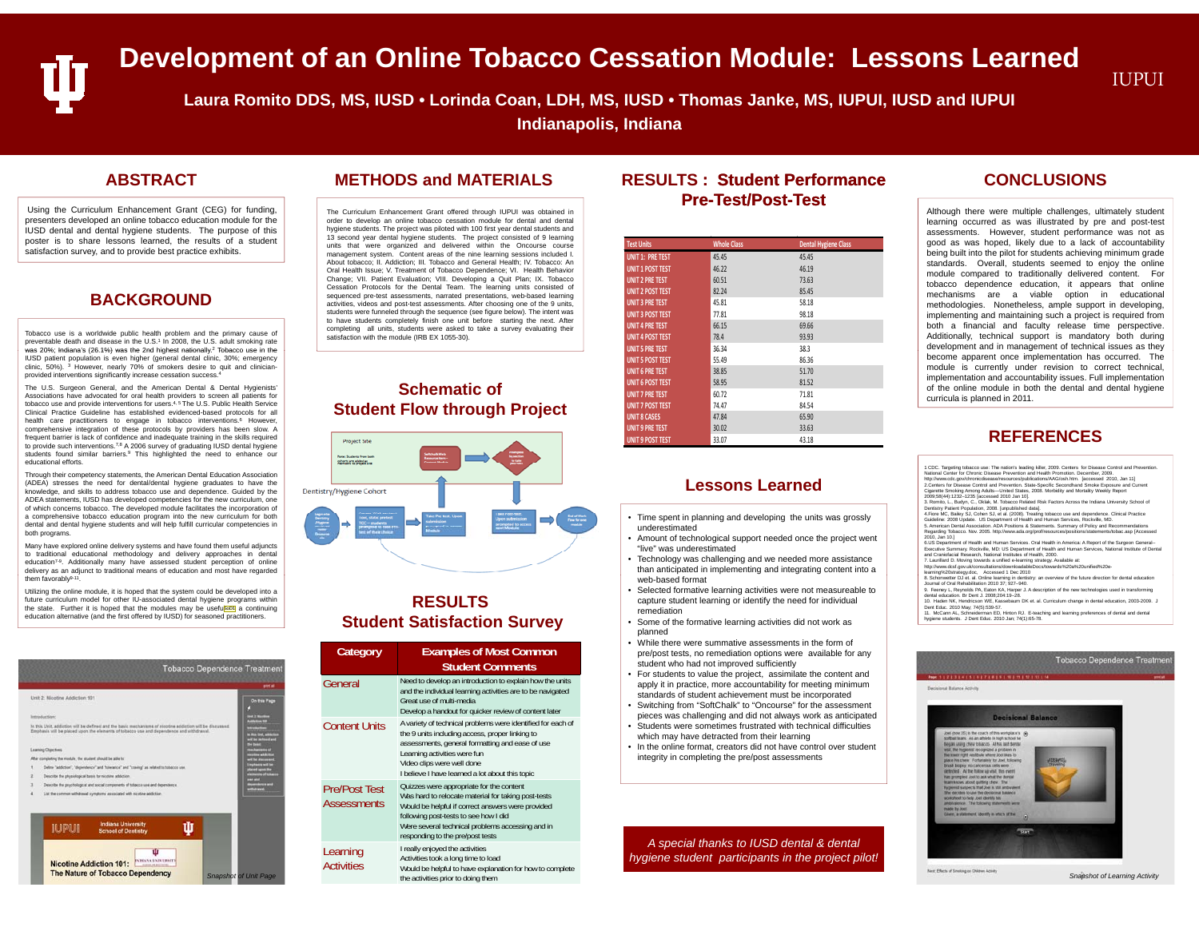# **Development of an Online Tobacco Cessation Module: Lessons Learned Muput**

**Laura Romito DDS, MS, IUSD • Lorinda Coan, LDH, MS, IUSD • Thomas Janke, MS, IUPUI, IUSD and IUPUI**

**Indianapolis Indiana**

Using the Curriculum Enhancement Grant (CEG) for funding, presenters developed an online tobacco education module for the IUSD dental and dental hygiene students. The purpose of this poster is to share lessons learned, the results of a student satisfaction survey, and to provide best practice exhibits.

#### **BACKGROUND**

Tobacco use is <sup>a</sup> worldwide public health problem and the primary cause of preventable death and disease in the U.S.1 In 2008, the U.S. adult smoking rate was 20%; Indiana's (26.1%) was the 2nd highest nationally. ? Tobacco use in the **Indianally and the Constantine Constantine and the Constantine Constantine and the Constantine and the Constantine and the Constantine and th** IUSD patient population is even higher (general dental clinic, 30%; emergency clinic, 50%). <sup>3</sup> However, nearly 70% of smokers desire to quit and clinicianprovided interventions significantly increase cessation success.<sup>4</sup>

The U.S. Surgeon General, and the American Dental & Dental Hygienists Associations have advocated for oral health providers to screen all patients for tobacco use and provide interventions for users.4, <sup>5</sup> The U.S. Public Health Service Clinical Practice Guideline has established evidenced-based protocols for all health care practitioners to engage in tobacco interventions.<sup>6</sup> However comprehensive integration of these protocols by providers has been slow. A frequent barrier is lack of confidence and inadequate training in the skills required to provide such interventions.<sup>7,8</sup> A 2006 survey of graduating IUSD dental hygiene students found similar barriers.<sup>9</sup> This highlighted the need to enhance our educational efforts.

Through their competency statements, the American Dental Education Association (ADEA) stresses the need for dental/dental hygiene graduates to have the knowledge, and skills to address tobacco use and dependence. Guided by the ADEA statements, IUSD has developed competencies for the new curriculum, one of which concerns tobacco. The developed module facilitates the incorporation of <sup>a</sup> comprehensive tobacco education program into the new curriculum for both dental and dental hygiene students and will help fulfill curricular competencies in both programs.

Many have explored online delivery systems and have found them useful adjuncts to traditional educational methodology and delivery approaches in dental education<sup>7-9</sup>. Additionally many have assessed student perception of online delivery as an adjunct to traditional means of education and most have regarded them favorably9-11

Utilizing the online module, it is hoped that the system could be developed into <sup>a</sup> future curriculum model for other IU-associated dental hygiene programs within the state. Further it is hoped that the modules may be useful sont a continuing education alternative (and the first offered by IUSD) for seasoned practitioners.

|                                                                                                                                                                                                      | pint al                                               |  |  |  |  |
|------------------------------------------------------------------------------------------------------------------------------------------------------------------------------------------------------|-------------------------------------------------------|--|--|--|--|
| Unit 2: Nicotine Addiction 101                                                                                                                                                                       | On this Page                                          |  |  |  |  |
|                                                                                                                                                                                                      |                                                       |  |  |  |  |
| Introduction:                                                                                                                                                                                        | of 2 Months<br><b>Addution 199</b>                    |  |  |  |  |
| In this Unit, addiction will be defined and the basic mechanisms of nicotine addiction will be discussed.<br>Emphasis will be placed upon the elements of tobacco use and dependence and withdrawal. |                                                       |  |  |  |  |
|                                                                                                                                                                                                      | <b>A West linet, addition</b><br>will be included and |  |  |  |  |
| <b>Learning Objectives</b>                                                                                                                                                                           | <b>De basic</b><br><b>Inchannels</b> of               |  |  |  |  |
| After completing the module, the student should be able to:                                                                                                                                          | a addution                                            |  |  |  |  |
| Define "addiction". "dependence" and "toleratics" and "craving" as related to tobacco use                                                                                                            | <b>Hills document</b><br><b>Implicable will be</b>    |  |  |  |  |
| Describe the physiological basis for nicotine addiction                                                                                                                                              | <b>Varieti upon the</b><br><b>Vernesta of totacco</b> |  |  |  |  |
| <b>Barniston and</b><br>Describe the psychological and social compenents of tobacco use and dependence                                                                                               |                                                       |  |  |  |  |
| <b>Cornel</b><br>List the common withdrawel symptoms associated with nicotine addiction                                                                                                              |                                                       |  |  |  |  |
|                                                                                                                                                                                                      |                                                       |  |  |  |  |
| <b>Indiana University</b><br>Ш<br><b>IUPUI</b><br><b>School of Dentistry</b>                                                                                                                         |                                                       |  |  |  |  |
|                                                                                                                                                                                                      |                                                       |  |  |  |  |

## **Indianapolis, ABSTRACTMETHODS and MATERIALS**

The Curriculum Enhancement Grant offered through IUPUI was obtained in order to develop an online tobacco cessation module for dental and dental hygiene students. The project was piloted with 100 first year dental students and 13 second year dental hygiene students. The project consisted of 9 learning units that were organized and delivered within the Oncourse course management system. Content areas of the nine learning sessions included I. About tobacco; II. Addiction; III. Tobacco and General Health; IV. Tobacco: An Oral Health Issue; V. Treatment of Tobacco Dependence; VI. Health Behavior Change; VII. Patient Evaluation; VIII. Developing <sup>a</sup> Quit Plan; IX. Tobacco Cessation Protocols for the Dental Team. The learning units consisted of sequenced pre-test assessments, narrated presentations, web-based learning activities, videos and post-test assessments. After choosing one of the 9 units, students were funneled through the sequence (see figure below). The intent was to have students completely finish one unit before starting the next. After completing all units, students were asked to take <sup>a</sup> survey evaluating their satisfaction with the module (IRB EX 1055-30).

#### **Schematic of Student Flow through Project**



#### **RESULTSStudent Satisfaction Survey**

| bendence Treatment                                                                                                                                                                                                                                                                                                          | <b>Category</b>                                                                                                                                                                                           | <b>Examples of Most Common</b><br><b>Student Comments</b>                                                                                                                                                                                                                                                                                                                                                                                                                                         | , while there were sufficience assessments in the form of<br>pre/post tests, no remediation options were available for any<br>student who had not improved sufficiently<br>• For students to value the project, assimilate the content and               |                                                                                                                                                                                                                                                                                                                                                                                                                                                                                                          | <b>Tobacco Dependence Treatn</b> |
|-----------------------------------------------------------------------------------------------------------------------------------------------------------------------------------------------------------------------------------------------------------------------------------------------------------------------------|-----------------------------------------------------------------------------------------------------------------------------------------------------------------------------------------------------------|---------------------------------------------------------------------------------------------------------------------------------------------------------------------------------------------------------------------------------------------------------------------------------------------------------------------------------------------------------------------------------------------------------------------------------------------------------------------------------------------------|----------------------------------------------------------------------------------------------------------------------------------------------------------------------------------------------------------------------------------------------------------|----------------------------------------------------------------------------------------------------------------------------------------------------------------------------------------------------------------------------------------------------------------------------------------------------------------------------------------------------------------------------------------------------------------------------------------------------------------------------------------------------------|----------------------------------|
| cost of<br>On this Page<br><b>Ded 2 Months</b><br><b>Address to 1</b><br>discussed.<br><b>HIGHWAY</b><br>to this link, added<br>will be included an<br><b>The Lease</b><br>achainsta of<br>colors addutive<br>will be discussed<br><b>Institute's will be</b><br><b><i><u>Asred upon the</u></i></b><br>provening of locker | General                                                                                                                                                                                                   | Need to develop an introduction to explain how the units<br>and the individual learning activities are to be navigated<br>Great use of multi-media<br>Develop a handout for quicker review of content later<br>A variety of technical problems were identified for each of<br>the 9 units including access, proper linking to<br>assessments, general formatting and ease of use<br>Learning activities were fun<br>Video clips were well done<br>I believe I have learned a lot about this topic | apply it in practice, more accountability for meeting minimum<br>standards of student achievement must be incorporated<br>• Switching from "SoftChalk" to "Oncourse" for the assessment<br>pieces was challenging and did not always work as anticipated | <b>hoe: 1   2   3   4   5   6   7   8   9   10   11   12   13   14</b><br>Decisional Balance Activity                                                                                                                                                                                                                                                                                                                                                                                                    |                                  |
|                                                                                                                                                                                                                                                                                                                             | <b>Content Units</b>                                                                                                                                                                                      |                                                                                                                                                                                                                                                                                                                                                                                                                                                                                                   | • Students were sometimes frustrated with technical difficulties<br>which may have detracted from their learning<br>• In the online format, creators did not have control over student<br>integrity in completing the pre/post assessments               | <b>Decisional Balance</b><br>oni (tour 35) is the coach of this workplace's (a)<br>sittuat lears. As an athlete in high school he<br>Began young chew tobacco. At his last dental<br>will. the hyperist recognized a problem in<br>Big steely right vestibule where Joci Hirs 35<br><b>VISHO</b><br>state his chea: Fortunately for Joel Edouato<br><b>Travelin</b><br>runh biogesy, no cancerous cells were<br>interited. At the future up yiel: this event<br>has prompted Joel to ask what the dental |                                  |
| <b>DAY AND</b><br><b><i><u>Assemblator</u></i></b><br><b><i><u>ABANES</u></i></b>                                                                                                                                                                                                                                           | <b>Pre/Post Test</b><br><b>Assessments</b>                                                                                                                                                                | Quizzes were appropriate for the content<br>Was hard to relocate material for taking post-tests<br>Would be helpful if correct answers were provided<br>following post-tests to see how I did<br>Were several technical problems accessing and in<br>responding to the pre/post tests                                                                                                                                                                                                             |                                                                                                                                                                                                                                                          | lean knows about quilling chew. The<br>uplemat suspects that Joel is still ambivalent<br>the decides to use the decisional tunance<br>and utdown likes, cost of bandysma<br>andrivalence. The following statements were<br><b>Hukdai Ev Joel</b><br>Given, a statement, identify in aftern of five                                                                                                                                                                                                       |                                  |
| <b>Snapshot of Unit Page</b>                                                                                                                                                                                                                                                                                                | I really enjoyed the activities<br>Learning<br>Activities took a long time to load<br><b>Activities</b><br>Would be helpful to have explanation for how to complete<br>the activities prior to doing them | A special thanks to IUSD dental & dental<br>hygiene student participants in the project pilot!                                                                                                                                                                                                                                                                                                                                                                                                    | Next: Effects of Smoking on Children Activity                                                                                                                                                                                                            | Snapshot of Learning Activity                                                                                                                                                                                                                                                                                                                                                                                                                                                                            |                                  |

### **RESULTS : Student PerformancePre-Test/Post Test/Post-Test**

| <b>Test Units</b>       | <b>Whole Class</b> | <b>Dental Hygiene Class</b> |
|-------------------------|--------------------|-----------------------------|
| <b>UNIT 1: PRE TEST</b> | 45.45              | 45.45                       |
| <b>UNIT 1 POST TEST</b> | 46.22              | 46.19                       |
| <b>UNIT 2 PRE TEST</b>  | 60.51              | 73.63                       |
| <b>UNIT 2 POST TEST</b> | 82.24              | 85.45                       |
| <b>UNIT 3 PRE TEST</b>  | 45.81              | 58.18                       |
| <b>UNIT 3 POST TEST</b> | 77.81              | 98.18                       |
| <b>UNIT 4 PRE TEST</b>  | 66.15              | 69.66                       |
| <b>UNIT 4 POST TEST</b> | 78.4               | 93.93                       |
| <b>UNIT 5 PRE TEST</b>  | 36.34              | 38.3                        |
| <b>UNIT 5 POST TEST</b> | 55.49              | 86.36                       |
| <b>UNIT 6 PRE TEST</b>  | 38.85              | 51.70                       |
| <b>UNIT 6 POST TEST</b> | 58.95              | 81.52                       |
| <b>UNIT 7 PRE TEST</b>  | 60.72              | 71.81                       |
| <b>UNIT 7 POST TEST</b> | 74.47              | 84.54                       |
| <b>UNIT 8 CASES</b>     | 47.84              | 65.90                       |
| <b>UNIT 9 PRE TEST</b>  | 30.02              | 33.63                       |
| <b>UNIT 9 POST TEST</b> | 33.07              | 43.18                       |

#### **Lessons Learned**

- Time spent in planning and developing the units was grossly underestimated
- Amount of technological support needed once the project went "live" was underestimated
- Technology was challenging and we needed more assistance than anticipated in implementing and integrating content into a web-based format
- Selected formative learning activities were not measureable to capture student learning or identify the need for individual remediation
- Some of the formative learning activities did not work as planned
- While there were summative assessments in the form of pre/post tests, no remediation options were available for any student who had not improved sufficiently
- For students to value the project, assimilate the content and Need to develop an introduction to explain how the units **apply it in practice, more accountability for meeting minimum** standards of student achievement must be incorporated
	- Switching from "SoftChalk" to "Oncourse" for the assessment pieces was challenging and did not always work as anticipated
	- Students were sometimes frustrated with technical difficulties which may have detracted from their learning
	- In the online format, creators did not have control over student integrity in completing the pre/post assessments

#### **CONCLUSIONS**

Although there were multiple challenges, ultimately student learning occurred as was illustrated by pre and post-test assessments. However, student performance was not as good as was hoped, likely due to <sup>a</sup> lack of accountability being built into the pilot for students achieving minimum grade standards. Overall, students seemed to enjoy the online module compared to traditionally delivered content. For tobacco dependence education, it appears that online mechanisms are <sup>a</sup> viable option in educational methodologies. Nonetheless, ample support in developing, implementing and maintaining such <sup>a</sup> project is required from both <sup>a</sup> financial and faculty release time perspective. Additionally, technical support is mandatory both during development and in management of technical issues as they become apparent once implementation has occurred. The module is currently under revision to correct technical, implementation and accountability issues. Full implementation of the online module in both the dental and dental hygiene curricula is planned in 2011.

#### **REFERENCES**

| 1 CDC. Targeting tobacco use: The nation's leading killer, 2009. Centers for Disease Control and Prevention.<br>National Center for Chronic Disease Prevention and Health Promotion, December, 2009.<br>http://www.cdc.gov/chronicdisease/resources/publications/AAG/osh.htm. [accessed 2010, Jan 11] |  |
|-------------------------------------------------------------------------------------------------------------------------------------------------------------------------------------------------------------------------------------------------------------------------------------------------------|--|
| 2.Centers for Disease Control and Prevention, State-Specific Secondhand Smoke Exposure and Current<br>Cigarette Smoking Among Adults--United States, 2008. Morbidity and Mortality Weekly Report<br>2009:58(44):1232-1235 [accessed 2010 Jan 10].                                                     |  |
| 3. Romito, L., Budyn, C., Oklak, M. Tobacco Related Risk Factors Across the Indiana University School of<br>Dentistry Patient Population, 2008, Junpublished datal.                                                                                                                                   |  |
| 4. Fiore MC, Bailey SJ, Cohen SJ, et al. (2008). Treating tobacco use and dependence. Clinical Practice<br>Guideline: 2008 Update. US Department of Health and Human Services, Rockville, MD.                                                                                                         |  |
| 5. American Dental Association, ADA Positions & Statements, Summary of Policy and Recommendations<br>Regarding Tobacco, Nov. 2005. http://www.ada.org/prof/resources/positions/statements/tobac.asp fAccessed                                                                                         |  |
| 2010, Jan 10.1<br>6.US Department of Health and Human Services. Oral Health in America: A Report of the Surgeon General-                                                                                                                                                                              |  |
| Executive Summary, Rockville, MD: US Department of Health and Human Services, National Institute of Dental<br>and Craniofacial Research, National Institutes of Health, 2000.                                                                                                                         |  |
| 7. Laurillard D. Moving towards a unified e-learning strategy. Available at:<br>http://www.dcsf.gov.uk/consultations/downloadableDocs/towards%20a%20unified%20e-                                                                                                                                      |  |
| learning%20strategy.doc. Accessed 1 Dec 2010<br>8. Schonwetter DJ et, al. Online learning in dentistry: an overview of the future direction for dental education                                                                                                                                      |  |
| Journal of Oral Rehabilitation 2010 37: 927-940.                                                                                                                                                                                                                                                      |  |
| 9. Feeney L. Reynolds PA, Eaton KA, Harper J, A description of the new technologies used in transforming                                                                                                                                                                                              |  |
| dental education. Br Dent J. 2008:204:19-28.<br>10. Haden NK, Hendricson WE, Kassebaum DK et, al. Curriculum change in dental education, 2003-2009. J                                                                                                                                                 |  |
|                                                                                                                                                                                                                                                                                                       |  |

10. Haden NK, Hendricson WE, Kassebaum DK et. al. Curriculum change in dental education, 2003-2009. J<br>Dent Educ. 2010 May; 74(5):539-57.<br>hygiene students. J Dent Educ. 2010 Jan; 74(1):65-78.<br>hygiene students. J Dent Educ.



Tobacco Dependence Treatme